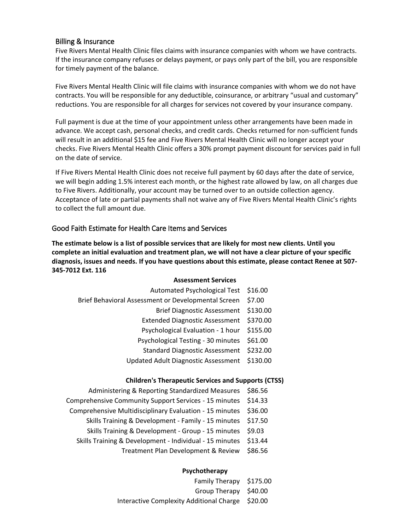# Billing & Insurance

Five Rivers Mental Health Clinic files claims with insurance companies with whom we have contracts. If the insurance company refuses or delays payment, or pays only part of the bill, you are responsible for timely payment of the balance.

Five Rivers Mental Health Clinic will file claims with insurance companies with whom we do not have contracts. You will be responsible for any deductible, coinsurance, or arbitrary "usual and customary" reductions. You are responsible for all charges for services not covered by your insurance company.

Full payment is due at the time of your appointment unless other arrangements have been made in advance. We accept cash, personal checks, and credit cards. Checks returned for non-sufficient funds will result in an additional \$15 fee and Five Rivers Mental Health Clinic will no longer accept your checks. Five Rivers Mental Health Clinic offers a 30% prompt payment discount for services paid in full on the date of service.

If Five Rivers Mental Health Clinic does not receive full payment by 60 days after the date of service, we will begin adding 1.5% interest each month, or the highest rate allowed by law, on all charges due to Five Rivers. Additionally, your account may be turned over to an outside collection agency. Acceptance of late or partial payments shall not waive any of Five Rivers Mental Health Clinic's rights to collect the full amount due.

# Good Faith Estimate for Health Care Items and Services

**The estimate below is a list of possible services that are likely for most new clients. Until you complete an initial evaluation and treatment plan, we will not have a clear picture of your specific diagnosis, issues and needs. If you have questions about this estimate, please contact Renee at 507- 345-7012 Ext. 116**

### **Assessment Services**

| Automated Psychological Test \$16.00                |         |
|-----------------------------------------------------|---------|
| Brief Behavioral Assessment or Developmental Screen | \$7.00  |
| Brief Diagnostic Assessment \$130.00                |         |
| Extended Diagnostic Assessment \$370.00             |         |
| Psychological Evaluation - 1 hour \$155.00          |         |
| Psychological Testing - 30 minutes                  | \$61.00 |
| Standard Diagnostic Assessment \$232.00             |         |
| Updated Adult Diagnostic Assessment \$130.00        |         |
|                                                     |         |

### **Children's Therapeutic Services and Supports (CTSS)**

- Administering & Reporting Standardized Measures \$86.56 Comprehensive Community Support Services - 15 minutes \$14.33 Comprehensive Multidisciplinary Evaluation - 15 minutes \$36.00 Skills Training & Development - Family - 15 minutes \$17.50
	-
	- Skills Training & Development Group 15 minutes \$9.03 Skills Training & Development - Individual - 15 minutes \$13.44
		- - Treatment Plan Development & Review \$86.56

## **Psychotherapy**

| Family Therapy \$175.00                          |  |
|--------------------------------------------------|--|
| Group Therapy \$40.00                            |  |
| Interactive Complexity Additional Charge \$20.00 |  |